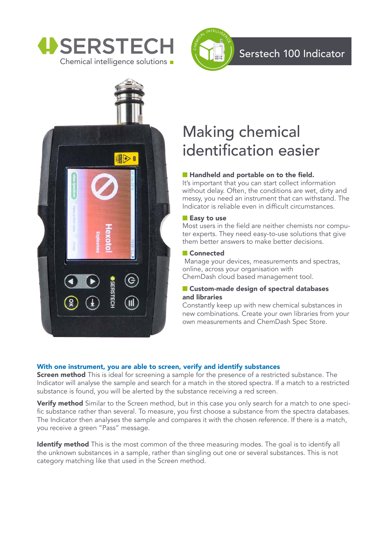





# Making chemical identification easier

#### ■ Handheld and portable on to the field.

It's important that you can start collect information without delay. Often, the conditions are wet, dirty and messy, you need an instrument that can withstand. The Indicator is reliable even in difficult circumstances.

#### ■ Easy to use

Most users in the field are neither chemists nor computer experts. They need easy-to-use solutions that give them better answers to make better decisions.

#### ■ Connected

Manage your devices, measurements and spectras, online, across your organisation with ChemDash cloud based management tool.

#### ■ Custom-made design of spectral databases and libraries

Constantly keep up with new chemical substances in new combinations. Create your own libraries from your own measurements and ChemDash Spec Store.

#### With one instrument, you are able to screen, verify and identify substances

**Screen method** This is ideal for screening a sample for the presence of a restricted substance. The Indicator will analyse the sample and search for a match in the stored spectra. If a match to a restricted substance is found, you will be alerted by the substance receiving a red screen.

Verify method Similar to the Screen method, but in this case you only search for a match to one specific substance rather than several. To measure, you first choose a substance from the spectra databases. The Indicator then analyses the sample and compares it with the chosen reference. If there is a match, you receive a green "Pass" message.

Identify method This is the most common of the three measuring modes. The goal is to identify all the unknown substances in a sample, rather than singling out one or several substances. This is not category matching like that used in the Screen method.